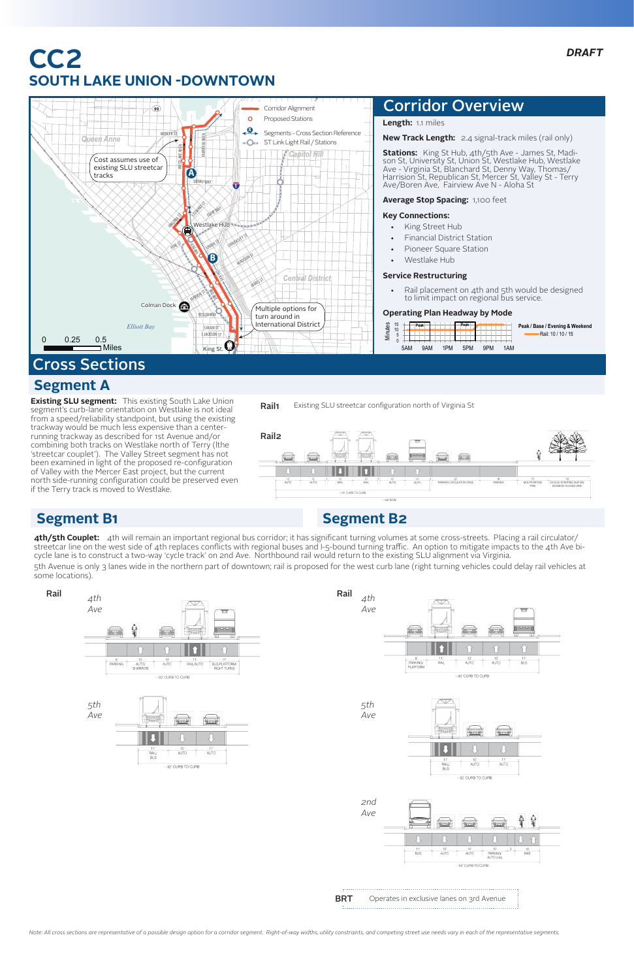**4th/5th Couplet:** 4th will remain an important regional bus corridor; it has significant turning volumes at some cross-streets. Placing a rail circulator/ streetcar line on the west side of 4th replaces conflicts with regional buses and I-5-bound turning traffic. An option to mitigate impacts to the 4th Ave bicycle lane is to construct a two-way 'cycle track' on 2nd Ave. Northbound rail would return to the existing SLU alignment via Virginia.

5th Avenue is only 3 lanes wide in the northern part of downtown; rail is proposed for the west curb lane (right turning vehicles could delay rail vehicles at some locations).

**Existing SLU segment:** This existing South Lake Union segment's curb-lane orientation on Westlake is not ideal from a speed/reliability standpoint, but using the existing trackway would be much less expensive than a centerrunning trackway as described for 1st Avenue and/or combining both tracks on Westlake north of Terry (lthe 'streetcar couplet'). The Valley Street segment has not been examined in light of the proposed re-configuration of Valley with the Mercer East project, but the current north side-running configuration could be preserved even if the Terry track is moved to Westlake.

- King Street Hub
- **Financial District Station**
- Pioneer Square Station
- • Westlake Hub

# **CC2 SOUTH LAKE UNION -DOWNTOWN**



**Length:** 1.1 miles

**New Track Length:** 2.4 signal-track miles (rail only)



**Stations:** King St Hub, 4th/5th Ave - James St, Madison St, University St, Union St, Westlake Hub, Westlake Ave - Virginia St, Blanchard St, Denny Way, Thomas/ Harrision St, Republican St, Mercer St, Valley St - Terry Ave/Boren Ave, Fairview Ave N - Aloha St

**Average Stop Spacing:** 1,100 feet

### **Key Connections:**

#### **Service Restructuring**

Rail placement on 4th and 5th would be designed to limit impact on regional bus service.

#### **Operating Plan Headway by Mode**

## Corridor Overview









# Cross Sections

## **Segment A**



## **Segment B1 Segment B2**

BRT



*Note: All cross sections are representative of a possible design option for a corridor segment. Right-of-way widths, utility constraints, and competing street use needs vary in each of the representative segments.*